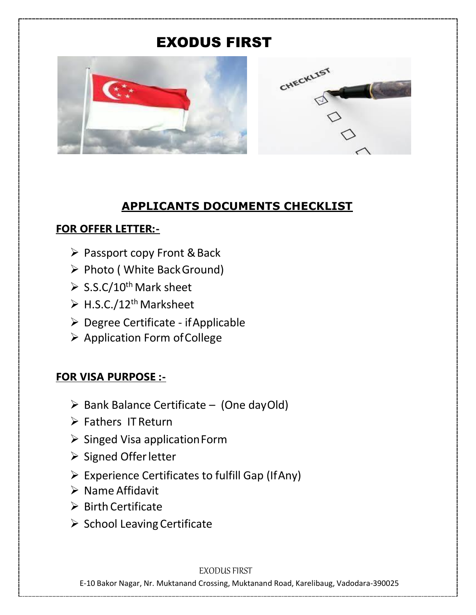# EXODUS FIRST





### **APPLICANTS DOCUMENTS CHECKLIST**

### **FOR OFFER LETTER:-**

- $\triangleright$  Passport copy Front & Back
- ▶ Photo ( White Back Ground)
- $\triangleright$  S.S.C/10<sup>th</sup> Mark sheet
- $\triangleright$  H.S.C./12<sup>th</sup> Marksheet
- Degree Certificate ifApplicable
- $\triangleright$  Application Form of College

## **FOR VISA PURPOSE :-**

- $\triangleright$  Bank Balance Certificate (One dayOld)
- $\triangleright$  Fathers IT Return
- $\triangleright$  Singed Visa application Form
- $\triangleright$  Signed Offer letter
- Experience Certificates to fulfill Gap (IfAny)
- $\triangleright$  Name Affidavit
- $\triangleright$  Birth Certificate
- $\triangleright$  School Leaving Certificate

#### EXODUS FIRST

E-10 Bakor Nagar, Nr. Muktanand Crossing, Muktanand Road, Karelibaug, Vadodara-390025